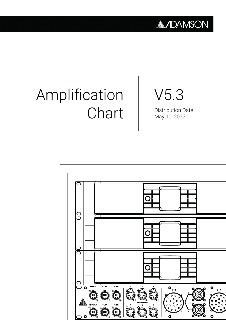### **ADAMSON**

# Amplification **Chart**

# V5.3

Distribution Date May 10, 2022

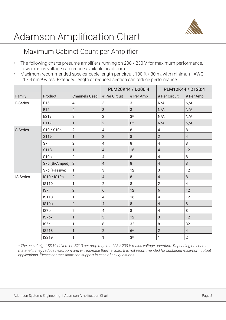

#### Maximum Cabinet Count per Amplifier

- The following charts presume amplifiers running on 208 / 230 V for maximum performance. Lower mains voltage can reduce available headroom.
- Maximum recommended speaker cable length per circuit 100 ft / 30 m, with minimum AWG 11 / 4 mm² wires. Extended length or reduced section can reduce performance.

|                  |                   |                      |                | PLM20K44 / D200:4 | PLM12K44 / D120:4 |                |  |
|------------------|-------------------|----------------------|----------------|-------------------|-------------------|----------------|--|
| Family           | Product           | <b>Channels Used</b> | # Per Circuit  | # Per Amp         | # Per Circuit     | # Per Amp      |  |
| E-Series         | E15               | 4                    | 3              | 3                 | N/A               | N/A            |  |
|                  | E12               | $\sqrt{4}$           | $\mathfrak{S}$ | 3                 | N/A               | N/A            |  |
|                  | E219              | $\overline{2}$       | $\overline{2}$ | $3*$              | N/A               | N/A            |  |
|                  | E119              | $\mathbf{1}$         | $\overline{2}$ | $6*$              | N/A               | N/A            |  |
| S-Series         | S10 / S10n        | $\overline{2}$       | $\overline{4}$ | $\,8\,$           | $\overline{4}$    | $\,8\,$        |  |
|                  | S119              | $\mathbf{1}$         | $\overline{2}$ | 8                 | $\overline{2}$    | $\overline{4}$ |  |
|                  | S7                | $\overline{2}$       | $\overline{4}$ | 8                 | $\overline{4}$    | 8              |  |
|                  | S118              | $\mathbf{1}$         | $\overline{4}$ | 16                | $\overline{4}$    | 12             |  |
|                  | S <sub>10</sub> p | $\overline{2}$       | $\overline{4}$ | 8                 | $\overline{4}$    | 8              |  |
|                  | S7p (Bi-Amped)    | $\sqrt{2}$           | $\overline{4}$ | 8                 | $\overline{4}$    | $\,8\,$        |  |
|                  | S7p (Passive)     | 1                    | 3              | 12                | 3                 | 12             |  |
| <b>IS-Series</b> | IS10 / IS10n      | $\overline{2}$       | $\overline{4}$ | 8                 | $\overline{4}$    | 8              |  |
|                  | <b>IS119</b>      | 1                    | $\overline{2}$ | 8                 | $\overline{2}$    | $\overline{4}$ |  |
|                  | IS7               | $\overline{2}$       | 6              | 12                | 6                 | 12             |  |
|                  | <b>IS118</b>      | $\mathbf{1}$         | $\overline{4}$ | 16                | $\overline{4}$    | 12             |  |
|                  | IS10p             | $\overline{2}$       | $\overline{4}$ | 8                 | $\overline{4}$    | $\,8\,$        |  |
|                  | IS7p              | $\overline{2}$       | $\overline{4}$ | 8                 | $\overline{4}$    | 8              |  |
|                  | IS7px             | $\mathbf{1}$         | $\mathfrak{S}$ | 12                | 3                 | 12             |  |
|                  | IS <sub>5</sub> c | $\mathbf{1}$         | 8              | 32                | 8                 | 32             |  |
|                  | <b>IS213</b>      | $\mathbf{1}$         | $\overline{2}$ | $6*$              | $\overline{2}$    | $\overline{4}$ |  |
|                  | <b>IS219</b>      | 1                    | 1              | $3*$              | 1                 | $\overline{2}$ |  |

*\* The use of eight SD19 drivers or IS213 per amp requires 208 / 230 V mains voltage operation. Depending on source material it may reduce headroom and will increase thermal load. It is not recommended for sustained maximum output applications. Please contact Adamson support in case of any questions.*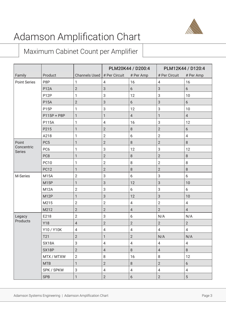

#### Maximum Cabinet Count per Amplifier

|                             |                   |                               | PLM20K44 / D200:4         |                | PLM12K44 / D120:4 |                          |  |
|-----------------------------|-------------------|-------------------------------|---------------------------|----------------|-------------------|--------------------------|--|
| Family                      | Product           | Channels Used $#$ Per Circuit |                           | # Per Amp      | # Per Circuit     | # Per Amp                |  |
| <b>Point Series</b>         | P8P               | 1                             | 4                         | 16             | $\overline{4}$    | 16                       |  |
|                             | <b>P12A</b>       | $\overline{2}$                | $\mathsf 3$               | 6              | $\mathbf{3}$      | 6                        |  |
|                             | P <sub>12</sub> P | 1                             | 3                         | 12             | $\sqrt{3}$        | 10                       |  |
|                             | <b>P15A</b>       | $\overline{2}$                | 3                         | 6              | $\mathfrak{S}$    | $6\phantom{a}$           |  |
|                             | P <sub>15</sub> P | 1                             | $\ensuremath{\mathsf{3}}$ | 12             | $\sqrt{3}$        | 10                       |  |
|                             | P115P + P8P       | $\mathbf{1}$                  | $\mathbf{1}$              | $\sqrt{4}$     | $\mathbf{1}$      | $\overline{4}$           |  |
|                             | P115A             | 1                             | $\overline{4}$            | 16             | $\sqrt{3}$        | 12                       |  |
|                             | P215              | 1                             | $\mathbf{2}$              | 8              | $\overline{2}$    | 6                        |  |
|                             | A218              | 1                             | $\mathbf{2}$              | 6              | $\sqrt{2}$        | $\overline{\mathcal{A}}$ |  |
| Point                       | PC <sub>5</sub>   | 1                             | $\overline{2}$            | $\, 8$         | $\overline{2}$    | 8                        |  |
| Concentric<br><b>Series</b> | PC <sub>6</sub>   | 1                             | $\ensuremath{\mathsf{3}}$ | 12             | $\sqrt{3}$        | 12                       |  |
|                             | PC8               | 1                             | $\overline{2}$            | $\, 8$         | $\overline{2}$    | 8                        |  |
|                             | <b>PC10</b>       | 1                             | $\overline{2}$            | $\, 8$         | $\overline{2}$    | 8                        |  |
|                             | <b>PC12</b>       | 1                             | $\overline{2}$            | $\, 8$         | $\overline{2}$    | 8                        |  |
| M-Series                    | <b>M15A</b>       | $\overline{2}$                | $\ensuremath{\mathsf{3}}$ | 6              | $\sqrt{3}$        | 6                        |  |
|                             | <b>M15P</b>       | 1                             | $\sqrt{3}$                | 12             | $\mathfrak{S}$    | 10                       |  |
|                             | <b>M12A</b>       | $\overline{2}$                | $\sqrt{3}$                | 6              | $\sqrt{3}$        | 6                        |  |
|                             | M <sub>12</sub> P | 1                             | $\sqrt{3}$                | 12             | $\mathfrak{S}$    | 10                       |  |
|                             | M215              | $\mathbf{2}$                  | $\overline{2}$            | $\sqrt{4}$     | $\sqrt{2}$        | $\overline{4}$           |  |
|                             | M212              | $\mathbf{2}$                  | $\overline{2}$            | $\sqrt{4}$     | $\overline{2}$    | $\overline{4}$           |  |
| Legacy                      | E218              | $\mathbf{2}$                  | $\sqrt{3}$                | 6              | N/A               | N/A                      |  |
| Products                    | Y18               | $\overline{4}$                | $\overline{2}$            | $\overline{2}$ | $\sqrt{2}$        | $\overline{2}$           |  |
|                             | Y10 / Y10K        | 4                             | 4                         | 4              | $\overline{4}$    | 4                        |  |
|                             | T21               | $\sqrt{2}$                    | 1                         | $\sqrt{2}$     | N/A               | N/A                      |  |
|                             | SX18A             | 3                             | $\overline{4}$            | $\overline{4}$ | $\overline{4}$    | $\overline{4}$           |  |
|                             | SX18P             | $\overline{2}$                | $\sqrt{4}$                | $8\,$          | $\overline{4}$    | 8                        |  |
|                             | MTX / MTXW        | $\overline{2}$                | $\, 8$                    | 16             | $\,8\,$           | 12                       |  |
|                             | <b>MTB</b>        | 1                             | $\overline{2}$            | $\,8\,$        | $\overline{2}$    | 6                        |  |
|                             | SPK / SPKW        | $\sqrt{3}$                    | $\overline{4}$            | $\overline{4}$ | $\overline{4}$    | 4                        |  |
|                             | <b>SPB</b>        | 1                             | $\overline{2}$            | $6\phantom{a}$ | $\overline{2}$    | 5                        |  |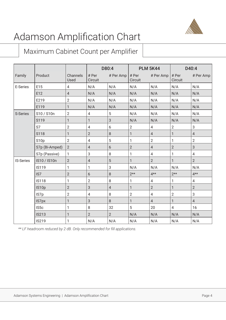

#### Maximum Cabinet Count per Amplifier

|                  |                   |                  | D80:4            |                | <b>PLM 5K44</b>  |                | D40:4            |                |
|------------------|-------------------|------------------|------------------|----------------|------------------|----------------|------------------|----------------|
| Family           | Product           | Channels<br>Used | # Per<br>Circuit | # Per Amp      | # Per<br>Circuit | # Per Amp      | # Per<br>Circuit | # Per Amp      |
| E-Series         | E15               | $\overline{4}$   | N/A              | N/A            | N/A              | N/A            | N/A              | N/A            |
|                  | E12               | $\overline{4}$   | N/A              | N/A            | N/A              | N/A            | N/A              | N/A            |
|                  | E219              | $\overline{2}$   | N/A              | N/A            | N/A              | N/A            | N/A              | N/A            |
|                  | E119              | $\mathbf{1}$     | N/A              | N/A            | N/A              | N/A            | N/A              | N/A            |
| S-Series         | S10 / S10n        | $\overline{2}$   | $\overline{4}$   | 5              | N/A              | N/A            | N/A              | N/A            |
|                  | S119              | $\mathbf{1}$     | $\mathbf{1}$     | 3              | N/A              | N/A            | N/A              | N/A            |
|                  | S7                | $\overline{2}$   | $\overline{4}$   | 6              | $\overline{2}$   | $\overline{4}$ | $\overline{2}$   | $\mathfrak{S}$ |
|                  | S118              | $\mathbf{1}$     | $\overline{2}$   | 8              | $\mathbf{1}$     | $\overline{4}$ | $\mathbf{1}$     | $\overline{4}$ |
|                  | S <sub>10</sub> p | $\overline{2}$   | $\overline{4}$   | 5              | $\mathbf{1}$     | $\overline{2}$ | $\mathbf{1}$     | $\overline{2}$ |
|                  | S7p (Bi-Amped)    | $\mathbf{2}$     | $\overline{4}$   | 6              | $\sqrt{2}$       | $\overline{4}$ | $\overline{2}$   | 3              |
|                  | S7p (Passive)     | $\mathbf{1}$     | 3                | 8              | $\mathbf{1}$     | $\overline{4}$ | 1                | $\overline{4}$ |
| <b>IS-Series</b> | IS10 / IS10n      | $\overline{2}$   | $\overline{4}$   | 5              | $\mathbf{1}$     | $\overline{2}$ | $\mathbf{1}$     | $2^{\circ}$    |
|                  | <b>IS119</b>      | $\mathbf{1}$     | $\mathbf{1}$     | 3              | N/A              | N/A            | N/A              | N/A            |
|                  | IS7               | $\overline{2}$   | 6                | 8              | $2**$            | $4**$          | $2**$            | $4**$          |
|                  | <b>IS118</b>      | $\mathbf{1}$     | $\overline{2}$   | 8              | 1                | $\overline{4}$ | 1                | $\overline{4}$ |
|                  | IS10p             | $\overline{2}$   | 3                | $\overline{4}$ | $\mathbf{1}$     | $\overline{2}$ | $\mathbf{1}$     | $\overline{2}$ |
|                  | IS7p              | $\overline{2}$   | 4                | 8              | $\overline{2}$   | $\overline{4}$ | $\overline{2}$   | 3              |
|                  | IS7px             | $\mathbf{1}$     | 3                | 8              | $\mathbf{1}$     | $\overline{4}$ | $\mathbf{1}$     | $\overline{4}$ |
|                  | IS5c              | $\mathbf{1}$     | 8                | 32             | 5                | 20             | $\overline{4}$   | 16             |
|                  | <b>IS213</b>      | $\mathbf{1}$     | $\overline{2}$   | $\overline{2}$ | N/A              | N/A            | N/A              | N/A            |
|                  | <b>IS219</b>      | $\mathbf{1}$     | N/A              | N/A            | N/A              | N/A            | N/A              | N/A            |

*\*\* LF headroom reduced by 2 dB. Only recommended for fill applications.*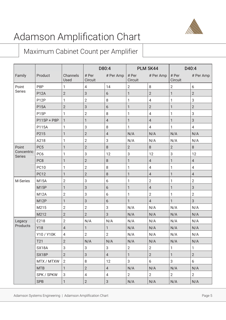

#### Maximum Cabinet Count per Amplifier

|                             |                   |                  | D80:4            |                | <b>PLM 5K44</b>  |                | D40:4            |                |
|-----------------------------|-------------------|------------------|------------------|----------------|------------------|----------------|------------------|----------------|
| Family                      | Product           | Channels<br>Used | # Per<br>Circuit | # Per Amp      | # Per<br>Circuit | # Per Amp      | # Per<br>Circuit | # Per Amp      |
| Point                       | P8P               | 1                | 4                | 14             | $\overline{2}$   | 8              | $\overline{2}$   | 6              |
| <b>Series</b>               | <b>P12A</b>       | $\overline{2}$   | 3                | 6              | $\mathbf{1}$     | $\overline{2}$ | $\mathbf{1}$     | $\overline{2}$ |
|                             | P <sub>12</sub> P | 1                | $\overline{2}$   | 8              | 1                | 4              | 1                | 3              |
|                             | <b>P15A</b>       | 2                | 3                | 6              | 1                | $\overline{2}$ | 1                | $\overline{2}$ |
|                             | P <sub>15</sub> P | 1                | $\overline{2}$   | 8              | 1                | 4              | 1                | 3              |
|                             | P115P + P8P       | 1                | 1                | $\sqrt{4}$     | $\mathbf{1}$     | $\overline{4}$ | $\mathbf{1}$     | $\mathbf{3}$   |
|                             | P115A             | 1                | 3                | 8              | 1                | $\overline{4}$ | 1                | $\overline{4}$ |
|                             | P215              | 1                | $\overline{2}$   | $\sqrt{4}$     | N/A              | N/A            | N/A              | N/A            |
|                             | A218              | 1                | $\overline{2}$   | 3              | N/A              | N/A            | N/A              | N/A            |
| Point                       | PC <sub>5</sub>   | 1                | $\overline{2}$   | $\,8\,$        | $\overline{2}$   | $\,8\,$        | $\overline{2}$   | $\,8\,$        |
| Concentric<br><b>Series</b> | PC <sub>6</sub>   | 1                | 3                | 12             | 3                | 12             | 3                | 12             |
|                             | PC8               | 1                | $\overline{2}$   | $\,8\,$        | $\mathbf{1}$     | $\overline{4}$ | $\mathbf{1}$     | $\sqrt{4}$     |
|                             | <b>PC10</b>       | 1                | 2                | 8              | 1                | 4              | 1                | $\overline{4}$ |
|                             | <b>PC12</b>       | 1                | $\overline{2}$   | 8              | 1                | $\sqrt{4}$     | 1                | $\overline{4}$ |
| M-Series                    | <b>M15A</b>       | $\overline{2}$   | 3                | 6              | 1                | $\overline{2}$ | 1                | $\overline{2}$ |
|                             | M <sub>15</sub> P | 1                | 3                | 6              | $\mathbf{1}$     | $\sqrt{4}$     | $\mathbf{1}$     | $\sqrt{3}$     |
|                             | <b>M12A</b>       | $\overline{2}$   | 3                | 6              | 1                | $\overline{2}$ | 1                | $\overline{2}$ |
|                             | M <sub>12</sub> P | 1                | 3                | 6              | 1                | $\overline{4}$ | $\mathbf{1}$     | $\mathfrak{S}$ |
|                             | M215              | $\overline{2}$   | $\overline{2}$   | 3              | N/A              | N/A            | N/A              | N/A            |
|                             | M212              | $\overline{2}$   | $\overline{2}$   | 3              | N/A              | N/A            | N/A              | N/A            |
| Legacy                      | E218              | $\overline{2}$   | N/A              | N/A            | N/A              | N/A            | N/A              | N/A            |
| Products                    | <b>Y18</b>        | $\overline{4}$   | 1                | 1              | N/A              | N/A            | N/A              | N/A            |
|                             | Y10 / Y10K        | $\overline{4}$   | $\overline{2}$   | $\overline{2}$ | N/A              | N/A            | N/A              | N/A            |
|                             | T21               | $\overline{2}$   | N/A              | N/A            | N/A              | N/A            | N/A              | N/A            |
|                             | SX18A             | 3                | 3                | 3              | $\mathbf{2}$     | $\overline{2}$ | $\mathbf{1}$     | $\mathbf{1}$   |
|                             | SX18P             | $2^{\circ}$      | 3                | $\overline{4}$ | $\mathbf{1}$     | $\overline{2}$ | $\mathbf{1}$     | $\overline{2}$ |
|                             | MTX / MTXW        | 2                | 8                | 12             | $\mathbf{3}$     | 6              | $\mathbf{3}$     | 6              |
|                             | <b>MTB</b>        | $\mathbf{1}$     | $\overline{2}$   | $\overline{4}$ | N/A              | N/A            | N/A              | N/A            |
|                             | SPK / SPKW        | 3                | 4                | $\overline{4}$ | $\overline{2}$   | $2^{\circ}$    | $2^{\circ}$      | $2^{\circ}$    |
|                             | <b>SPB</b>        | 1                | $\overline{2}$   | $\mathfrak{S}$ | N/A              | N/A            | N/A              | N/A            |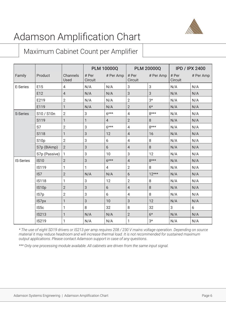

#### Maximum Cabinet Count per Amplifier

|                  |                   |                  | <b>PLM 10000Q</b> |                 | <b>PLM 20000Q</b> |           | <b>IPD / IPX 2400</b> |           |
|------------------|-------------------|------------------|-------------------|-----------------|-------------------|-----------|-----------------------|-----------|
| Family           | Product           | Channels<br>Used | # Per<br>Circuit  | # Per Amp       | # Per<br>Circuit  | # Per Amp | # Per<br>Circuit      | # Per Amp |
| E-Series         | E15               | $\overline{4}$   | N/A               | N/A             | 3                 | 3         | N/A                   | N/A       |
|                  | E12               | $\overline{4}$   | N/A               | N/A             | 3                 | 3         | N/A                   | N/A       |
|                  | E219              | $\overline{2}$   | N/A               | N/A             | $\overline{2}$    | $3*$      | N/A                   | N/A       |
|                  | E119              | $\mathbf{1}$     | N/A               | N/A             | $\overline{2}$    | $6*$      | N/A                   | N/A       |
| S-Series         | S10 / S10n        | $\overline{2}$   | 3                 | $6***$          | $\overline{4}$    | $8***$    | N/A                   | N/A       |
|                  | S119              | 1                | 1                 | $\overline{4}$  | $\overline{2}$    | 8         | N/A                   | N/A       |
|                  | S7                | $\overline{2}$   | 3                 | $6***$          | 4                 | $8***$    | N/A                   | N/A       |
|                  | S118              | 1                | 3                 | 12              | 4                 | 16        | N/A                   | N/A       |
|                  | S <sub>10</sub> p | $\overline{2}$   | 3                 | 6               | $\overline{4}$    | 8         | N/A                   | N/A       |
|                  | S7p (BiAmp)       | $\overline{2}$   | 3                 | 6               | $\overline{4}$    | 8         | N/A                   | N/A       |
|                  | S7p (Passive)     | $\mathbf{1}$     | 3                 | 10 <sup>1</sup> | 3                 | 12        | N/A                   | N/A       |
| <b>IS-Series</b> | <b>IS10</b>       | $\overline{2}$   | 3                 | $6***$          | $\overline{4}$    | $8***$    | N/A                   | N/A       |
|                  | <b>IS119</b>      | $\mathbf{1}$     | $\mathbf{1}$      | $\overline{4}$  | $\overline{2}$    | 8         | N/A                   | N/A       |
|                  | IS7               | $\overline{2}$   | N/A               | N/A             | 6                 | $12***$   | N/A                   | N/A       |
|                  | <b>IS118</b>      | 1                | 3                 | 12              | $\overline{2}$    | 8         | N/A                   | N/A       |
|                  | IS10p             | $\overline{2}$   | 3                 | 6               | 4                 | 8         | N/A                   | N/A       |
|                  | IS7p              | $\sqrt{2}$       | 3                 | 6               | 4                 | 8         | N/A                   | N/A       |
|                  | IS7px             | 1                | 3                 | 10              | 3                 | 12        | N/A                   | N/A       |
|                  | IS5c              | 1                | 8                 | 32              | 8                 | 32        | 3                     | 6         |
|                  | <b>IS213</b>      | 1                | N/A               | N/A             | $\overline{2}$    | $6*$      | N/A                   | N/A       |
|                  | <b>IS219</b>      | 1                | N/A               | N/A             | 1                 | $3*$      | N/A                   | N/A       |

*\* The use of eight SD19 drivers or IS213 per amp requires 208 / 230 V mains voltage operation. Depending on source material it may reduce headroom and will increase thermal load. It is not recommended for sustained maximum output applications. Please contact Adamson support in case of any questions.*

*\*\*\* Only one processing module available. All cabinets are driven from the same input signal.*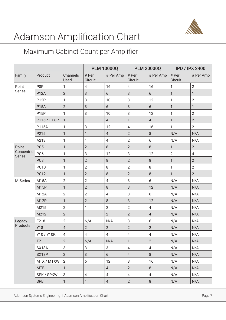

#### Maximum Cabinet Count per Amplifier

|                             |                   |                  | <b>PLM 10000Q</b> |                | <b>PLM 20000Q</b>        |                | <b>IPD / IPX 2400</b> |                |
|-----------------------------|-------------------|------------------|-------------------|----------------|--------------------------|----------------|-----------------------|----------------|
| Family                      | Product           | Channels<br>Used | # Per<br>Circuit  | # Per Amp      | # Per<br>Circuit         | # Per Amp      | # Per<br>Circuit      | # Per Amp      |
| Point                       | P8P               | 1                | $\overline{4}$    | 16             | $\overline{4}$           | 16             | 1                     | $\mathbf{2}$   |
| <b>Series</b>               | <b>P12A</b>       | $\overline{2}$   | 3                 | 6              | 3                        | 6              | 1                     | 1              |
|                             | P <sub>12</sub> P | 1                | 3                 | 10             | 3                        | 12             | 1                     | $\overline{2}$ |
|                             | <b>P15A</b>       | $\overline{2}$   | 3                 | 6              | 3                        | 6              | 1                     | 1              |
|                             | P <sub>15</sub> P | 1                | 3                 | 10             | 3                        | 12             | 1                     | $\overline{2}$ |
|                             | P115P + P8P       | 1                | 1                 | $\overline{4}$ | 1                        | $\overline{4}$ | 1                     | $\overline{2}$ |
|                             | P115A             | 1                | 3                 | 12             | 4                        | 16             | 1                     | $\overline{2}$ |
|                             | P215              | 1                | 1                 | 4              | $\overline{2}$           | 8              | N/A                   | N/A            |
|                             | A218              | 1                | 1                 | 4              | $\overline{2}$           | 6              | N/A                   | N/A            |
| Point                       | PC <sub>5</sub>   | 1                | $\overline{2}$    | $\,8\,$        | $\overline{2}$           | $\,8\,$        | 1                     | $\overline{2}$ |
| Concentric<br><b>Series</b> | PC <sub>6</sub>   | 1                | 3                 | 12             | 3                        | 12             | 2                     | $\overline{4}$ |
|                             | PC8               | $\mathbf{1}$     | $\overline{2}$    | $\,8\,$        | $\overline{2}$           | 8              | 1                     | $\overline{2}$ |
|                             | <b>PC10</b>       | 1                | $\overline{2}$    | 8              | $\overline{2}$           | 8              | 1                     | $\overline{2}$ |
|                             | <b>PC12</b>       | 1                | $\overline{2}$    | 8              | $\overline{2}$           | $\,8\,$        | 1                     | $\overline{2}$ |
| M-Series                    | <b>M15A</b>       | $\overline{2}$   | $\overline{2}$    | $\overline{4}$ | 3                        | 6              | N/A                   | N/A            |
|                             | <b>M15P</b>       | 1                | $\overline{2}$    | 8              | 3                        | 12             | N/A                   | N/A            |
|                             | <b>M12A</b>       | $\overline{2}$   | $\overline{2}$    | 4              | 3                        | 6              | N/A                   | N/A            |
|                             | M <sub>12</sub> P | 1                | $\overline{2}$    | 8              | 3                        | 12             | N/A                   | N/A            |
|                             | M215              | $\sqrt{2}$       | 1                 | $\overline{2}$ | $\overline{2}$           | 4              | N/A                   | N/A            |
|                             | M212              | $\overline{2}$   | 1                 | $\overline{2}$ | $\overline{2}$           | $\overline{4}$ | N/A                   | N/A            |
| Legacy                      | E218              | $\overline{2}$   | N/A               | N/A            | 3                        | 6              | N/A                   | N/A            |
| Products                    | <b>Y18</b>        | $\overline{4}$   | $\overline{2}$    | $\overline{2}$ | $\overline{2}$           | $\overline{2}$ | N/A                   | N/A            |
|                             | Y10 / Y10K        | $\overline{4}$   | $\overline{4}$    | $\overline{4}$ | $\overline{\mathcal{A}}$ | $\overline{4}$ | N/A                   | N/A            |
|                             | T21               | $\overline{2}$   | N/A               | N/A            | 1                        | $\overline{2}$ | N/A                   | N/A            |
|                             | SX18A             | 3                | 3                 | 3              | 4                        | 4              | N/A                   | N/A            |
|                             | SX18P             | $\overline{2}$   | 3                 | 6              | $\overline{4}$           | 8              | N/A                   | N/A            |
|                             | MTX / MTXW        | 2                | 6                 | 12             | 8                        | 16             | N/A                   | N/A            |
|                             | <b>MTB</b>        | $\mathbf{1}$     | 1                 | $\overline{4}$ | $\overline{2}$           | 8              | N/A                   | N/A            |
|                             | SPK / SPKW        | 3                | $\overline{4}$    | $\overline{4}$ | 4                        | $\overline{4}$ | N/A                   | N/A            |
|                             | <b>SPB</b>        | 1                | 1                 | $\overline{4}$ | $\overline{2}$           | 8              | N/A                   | N/A            |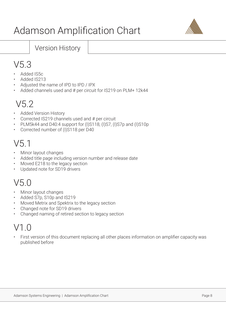

#### Version History

### V5.3

- Added IS5c
- Added IS213
- Adjusted the name of IPD to IPD / IPX
- Added channels used and # per circuit for IS219 on PLM+ 12k44

### V5.2

- Added Version History
- Corrected IS219 channels used and # per circuit
- PLM5k44 and D40:4 support for (I)S118, (I)S7, (I)S7p and (I)S10p
- Corrected number of (I)S118 per D40

### V5.1

- Minor layout changes
- Added title page including version number and release date
- Moved E218 to the legacy section
- Updated note for SD19 drivers

### V5.0

- Minor layout changes
- Added S7p, S10p and IS219
- Moved Metrix and Spektrix to the legacy section
- Changed note for SD19 drivers
- Changed naming of retired section to legacy section

### $V1$   $\Omega$

• First version of this document replacing all other places information on amplifier capacity was published before